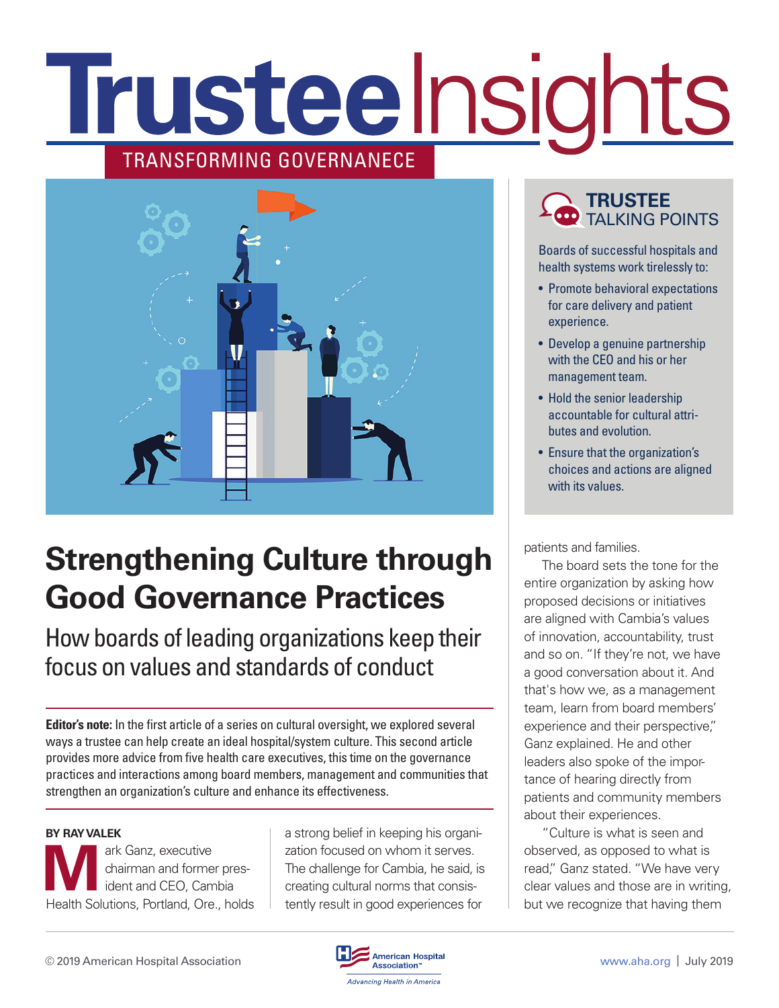# **Trusteelnsights** TRANSFORMING GOVERNANECE



## **Strengthening Culture through Good Governance Practices**

How boards of leading organizations keep their focus on values and standards of conduct

**Editor's note:** In the first article of a series on cultural oversight, we explored several ways a trustee can help create an ideal hospital/system culture. This second article provides more advice from five health care executives, this time on the governance practices and interactions among board members, management and communities that strengthen an organization's culture and enhance its effectiveness.

#### **BY RAY VALEK**

**M**ark Ganz, executive<br>
chairman and forme<br>
ident and CEO, Cam<br>
Hoolth Solutions Portland Oro chairman and former president and CEO, Cambia Health Solutions, Portland, Ore., holds a strong belief in keeping his organization focused on whom it serves. The challenge for Cambia, he said, is creating cultural norms that consistently result in good experiences for

### **TRUSTEE** TALKING POINTS

Boards of successful hospitals and health systems work tirelessly to:

- Promote behavioral expectations for care delivery and patient experience.
- Develop a genuine partnership with the CEO and his or her management team.
- Hold the senior leadership accountable for cultural attributes and evolution.
- Ensure that the organization's choices and actions are aligned with its values.

patients and families.

The board sets the tone for the entire organization by asking how proposed decisions or initiatives are aligned with Cambia's values of innovation, accountability, trust and so on. "If they're not, we have a good conversation about it. And that's how we, as a management team, learn from board members' experience and their perspective," Ganz explained. He and other leaders also spoke of the importance of hearing directly from patients and community members about their experiences.

"Culture is what is seen and observed, as opposed to what is read," Ganz stated. "We have very clear values and those are in writing, but we recognize that having them

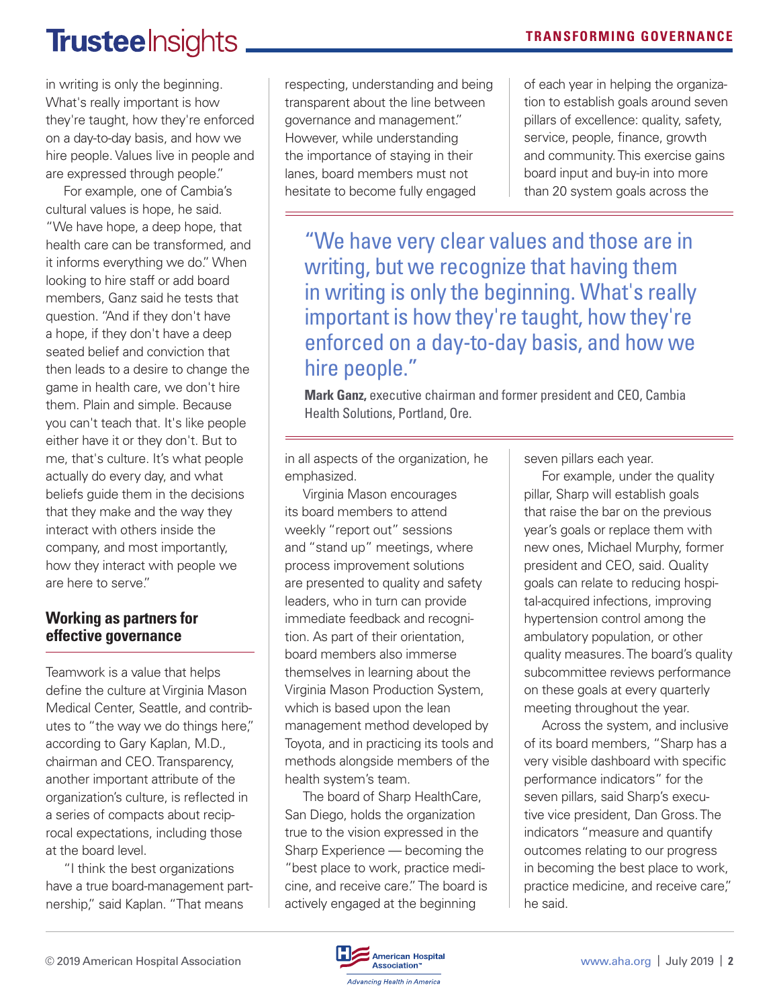### **TrusteeInsights**

in writing is only the beginning. What's really important is how they're taught, how they're enforced on a day-to-day basis, and how we hire people. Values live in people and are expressed through people."

For example, one of Cambia's cultural values is hope, he said. "We have hope, a deep hope, that health care can be transformed, and it informs everything we do." When looking to hire staff or add board members, Ganz said he tests that question. "And if they don't have a hope, if they don't have a deep seated belief and conviction that then leads to a desire to change the game in health care, we don't hire them. Plain and simple. Because you can't teach that. It's like people either have it or they don't. But to me, that's culture. It's what people actually do every day, and what beliefs guide them in the decisions that they make and the way they interact with others inside the company, and most importantly, how they interact with people we are here to serve."

#### **Working as partners for effective governance**

Teamwork is a value that helps define the culture at Virginia Mason Medical Center, Seattle, and contributes to "the way we do things here," according to Gary Kaplan, M.D., chairman and CEO. Transparency, another important attribute of the organization's culture, is reflected in a series of compacts about reciprocal expectations, including those at the board level.

"I think the best organizations have a true board-management partnership," said Kaplan. "That means

respecting, understanding and being transparent about the line between governance and management." However, while understanding the importance of staying in their lanes, board members must not hesitate to become fully engaged

of each year in helping the organization to establish goals around seven pillars of excellence: quality, safety, service, people, finance, growth and community. This exercise gains board input and buy-in into more than 20 system goals across the

"We have very clear values and those are in writing, but we recognize that having them in writing is only the beginning. What's really important is how they're taught, how they're enforced on a day-to-day basis, and how we hire people."

**Mark Ganz,** executive chairman and former president and CEO, Cambia Health Solutions, Portland, Ore.

in all aspects of the organization, he emphasized.

Virginia Mason encourages its board members to attend weekly "report out" sessions and "stand up" meetings, where process improvement solutions are presented to quality and safety leaders, who in turn can provide immediate feedback and recognition. As part of their orientation, board members also immerse themselves in learning about the Virginia Mason Production System, which is based upon the lean management method developed by Toyota, and in practicing its tools and methods alongside members of the health system's team.

The board of Sharp HealthCare, San Diego, holds the organization true to the vision expressed in the Sharp Experience — becoming the "best place to work, practice medicine, and receive care." The board is actively engaged at the beginning

seven pillars each year.

For example, under the quality pillar, Sharp will establish goals that raise the bar on the previous year's goals or replace them with new ones, Michael Murphy, former president and CEO, said. Quality goals can relate to reducing hospital-acquired infections, improving hypertension control among the ambulatory population, or other quality measures. The board's quality subcommittee reviews performance on these goals at every quarterly meeting throughout the year.

Across the system, and inclusive of its board members, "Sharp has a very visible dashboard with specific performance indicators" for the seven pillars, said Sharp's executive vice president, Dan Gross. The indicators "measure and quantify outcomes relating to our progress in becoming the best place to work, practice medicine, and receive care," he said.

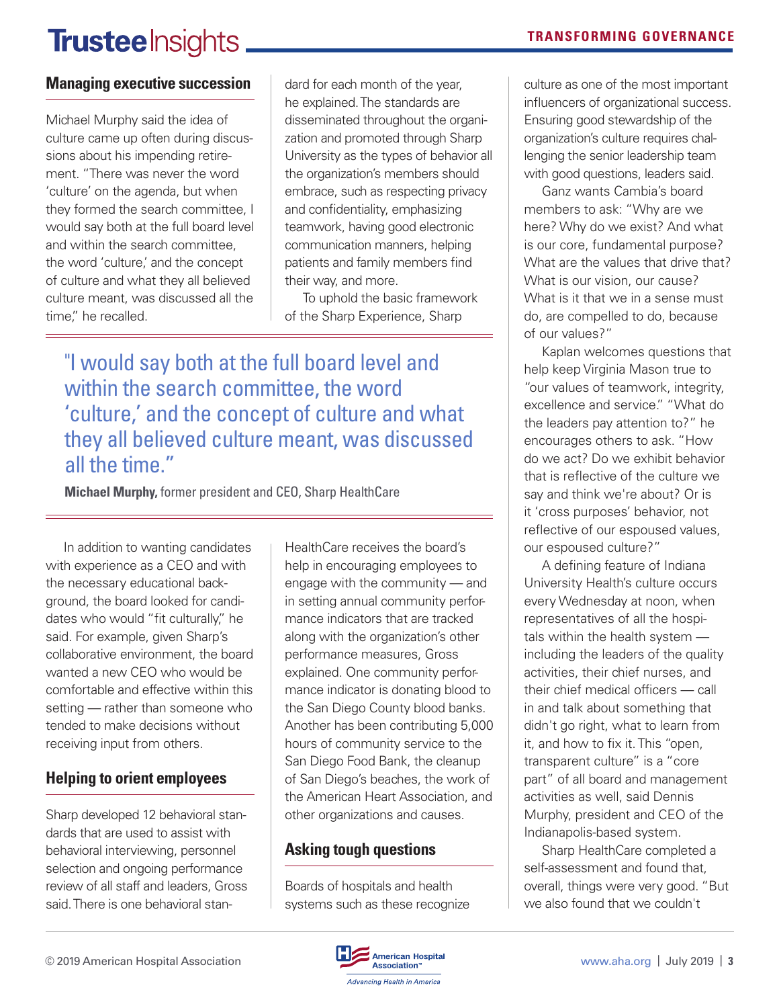## **Trustee** Insights.

### **Managing executive succession**

Michael Murphy said the idea of culture came up often during discussions about his impending retirement. "There was never the word 'culture' on the agenda, but when they formed the search committee, I would say both at the full board level and within the search committee, the word 'culture,' and the concept of culture and what they all believed culture meant, was discussed all the time," he recalled.

dard for each month of the year, he explained. The standards are disseminated throughout the organization and promoted through Sharp University as the types of behavior all the organization's members should embrace, such as respecting privacy and confidentiality, emphasizing teamwork, having good electronic communication manners, helping patients and family members find their way, and more.

To uphold the basic framework of the Sharp Experience, Sharp

"I would say both at the full board level and within the search committee, the word 'culture,' and the concept of culture and what they all believed culture meant, was discussed all the time."

**Michael Murphy,** former president and CEO, Sharp HealthCare

In addition to wanting candidates with experience as a CEO and with the necessary educational background, the board looked for candidates who would "fit culturally," he said. For example, given Sharp's collaborative environment, the board wanted a new CEO who would be comfortable and effective within this setting — rather than someone who tended to make decisions without receiving input from others.

### **Helping to orient employees**

Sharp developed 12 behavioral standards that are used to assist with behavioral interviewing, personnel selection and ongoing performance review of all staff and leaders, Gross said. There is one behavioral stan-

HealthCare receives the board's help in encouraging employees to engage with the community — and in setting annual community performance indicators that are tracked along with the organization's other performance measures, Gross explained. One community performance indicator is donating blood to the San Diego County blood banks. Another has been contributing 5,000 hours of community service to the San Diego Food Bank, the cleanup of San Diego's beaches, the work of the American Heart Association, and other organizations and causes.

### **Asking tough questions**

Boards of hospitals and health systems such as these recognize culture as one of the most important influencers of organizational success. Ensuring good stewardship of the organization's culture requires challenging the senior leadership team with good questions, leaders said.

Ganz wants Cambia's board members to ask: "Why are we here? Why do we exist? And what is our core, fundamental purpose? What are the values that drive that? What is our vision, our cause? What is it that we in a sense must do, are compelled to do, because of our values?"

Kaplan welcomes questions that help keep Virginia Mason true to "our values of teamwork, integrity, excellence and service." "What do the leaders pay attention to?" he encourages others to ask. "How do we act? Do we exhibit behavior that is reflective of the culture we say and think we're about? Or is it 'cross purposes' behavior, not reflective of our espoused values, our espoused culture?"

A defining feature of Indiana University Health's culture occurs every Wednesday at noon, when representatives of all the hospitals within the health system including the leaders of the quality activities, their chief nurses, and their chief medical officers — call in and talk about something that didn't go right, what to learn from it, and how to fix it. This "open, transparent culture" is a "core part" of all board and management activities as well, said Dennis Murphy, president and CEO of the Indianapolis-based system.

Sharp HealthCare completed a self-assessment and found that, overall, things were very good. "But we also found that we couldn't